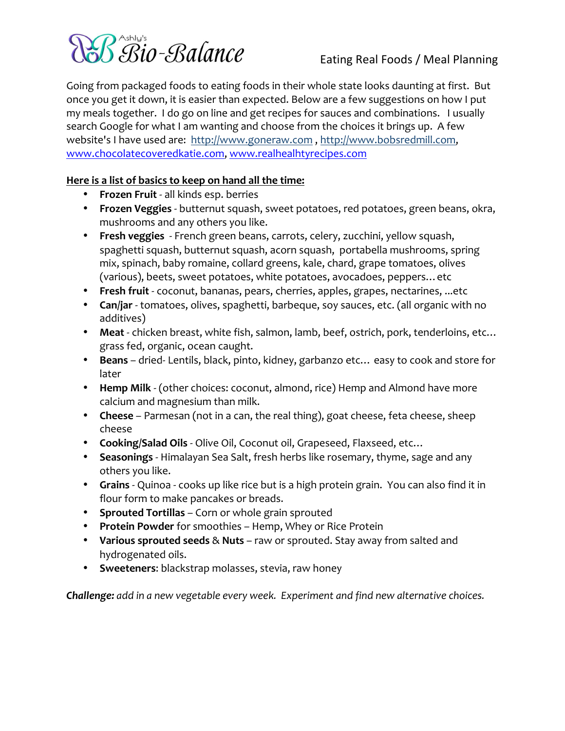

Going from packaged foods to eating foods in their whole state looks daunting at first. But once you get it down, it is easier than expected. Below are a few suggestions on how I put my meals together. I do go on line and get recipes for sauces and combinations. I usually search Google for what I am wanting and choose from the choices it brings up. A few website's I have used are: http://www.goneraw.com , http://www.bobsredmill.com, www.chocolatecoveredkatie.com, www.realhealhtyrecipes.com

# **Here is a list of basics to keep on hand all the time:**

- **Frozen Fruit** all kinds esp. berries
- **Frozen Veggies** butternut squash, sweet potatoes, red potatoes, green beans, okra, mushrooms and any others you like.
- **Fresh veggies** French green beans, carrots, celery, zucchini, yellow squash, spaghetti squash, butternut squash, acorn squash, portabella mushrooms, spring mix, spinach, baby romaine, collard greens, kale, chard, grape tomatoes, olives (various), beets, sweet potatoes, white potatoes, avocadoes, peppers... etc
- **Fresh fruit** coconut, bananas, pears, cherries, apples, grapes, nectarines, ...etc
- **Can/jar** tomatoes, olives, spaghetti, barbeque, soy sauces, etc. (all organic with no additives)
- Meat chicken breast, white fish, salmon, lamb, beef, ostrich, pork, tenderloins, etc... grass fed, organic, ocean caught.
- **Beans** dried-Lentils, black, pinto, kidney, garbanzo etc... easy to cook and store for later
- **Hemp Milk** (other choices: coconut, almond, rice) Hemp and Almond have more calcium and magnesium than milk.
- **Cheese** Parmesan (not in a can, the real thing), goat cheese, feta cheese, sheep cheese
- **Cooking/Salad Oils** Olive Oil, Coconut oil, Grapeseed, Flaxseed, etc...
- **Seasonings** Himalayan Sea Salt, fresh herbs like rosemary, thyme, sage and any others you like.
- **Grains** Quinoa cooks up like rice but is a high protein grain. You can also find it in flour form to make pancakes or breads.
- **Sprouted Tortillas** Corn or whole grain sprouted
- **Protein Powder** for smoothies Hemp, Whey or Rice Protein
- Various sprouted seeds & Nuts raw or sprouted. Stay away from salted and hydrogenated oils.
- **Sweeteners:** blackstrap molasses, stevia, raw honey

**Challenge:** add in a new vegetable every week. Experiment and find new alternative choices.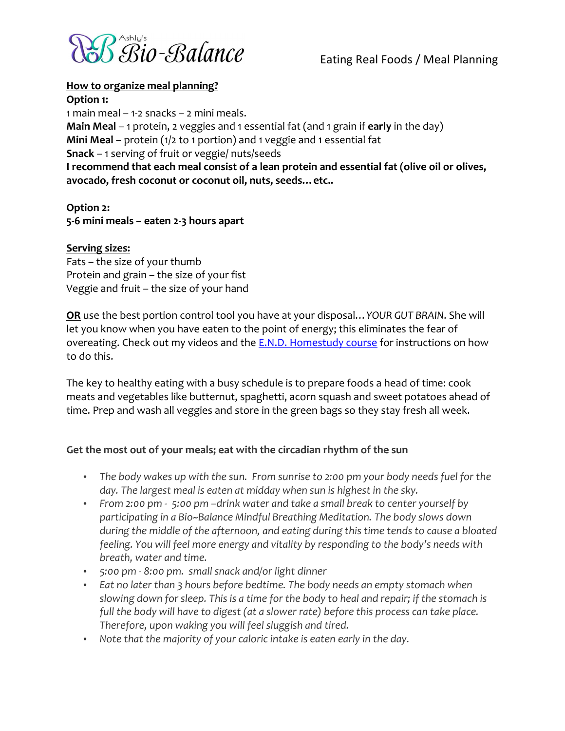

# **How to organize meal planning?**

**Option 1:** 

1 main meal – 1-2 snacks – 2 mini meals. **Main Meal** – 1 protein, 2 veggies and 1 essential fat (and 1 grain if early in the day) **Mini Meal** – protein (1/2 to 1 portion) and 1 veggie and 1 essential fat **Snack** – 1 serving of fruit or veggie/ nuts/seeds I recommend that each meal consist of a lean protein and essential fat (olive oil or olives, avocado, fresh coconut or coconut oil, nuts, seeds... etc..

**Option 2: 5Q6\$mini\$meals\$– eaten\$2Q3\$hours\$apart**

## **Serving sizes:**

Fats – the size of your thumb Protein and grain – the size of your fist Veggie and fruit – the size of your hand

**OR** use the best portion control tool you have at your disposal... YOUR GUT BRAIN. She will let you know when you have eaten to the point of energy; this eliminates the fear of overeating. Check out my videos and the E.N.D. Homestudy course for instructions on how to do this.

The key to healthy eating with a busy schedule is to prepare foods a head of time: cook meats and vegetables like butternut, spaghetti, acorn squash and sweet potatoes ahead of time. Prep and wash all veggies and store in the green bags so they stay fresh all week.

# Get the most out of your meals; eat with the circadian rhythm of the sun

- The body wakes up with the sun. From sunrise to 2:00 pm your body needs fuel for the day. The largest meal is eaten at midday when sun is highest in the sky.
- From 2:00 pm 5:00 pm –drink water and take a small break to center yourself by participating in a Bio~Balance Mindful Breathing Meditation. The body slows down during the middle of the afternoon, and eating during this time tends to cause a bloated *feeling. You will feel more energy and vitality by responding to the body's needs with breath,!water!and!time.*
- *5:00!pm!I 8:00!pm.! small!snack!and/or!light!dinner*
- Eat no later than 3 hours before bedtime. The body needs an empty stomach when slowing down for sleep. This is a time for the body to heal and repair; if the stomach is *full the body will have to digest (at a slower rate) before this process can take place. Therefore, upon waking you will feel sluggish and tired.*
- Note that the majority of your caloric intake is eaten early in the day.